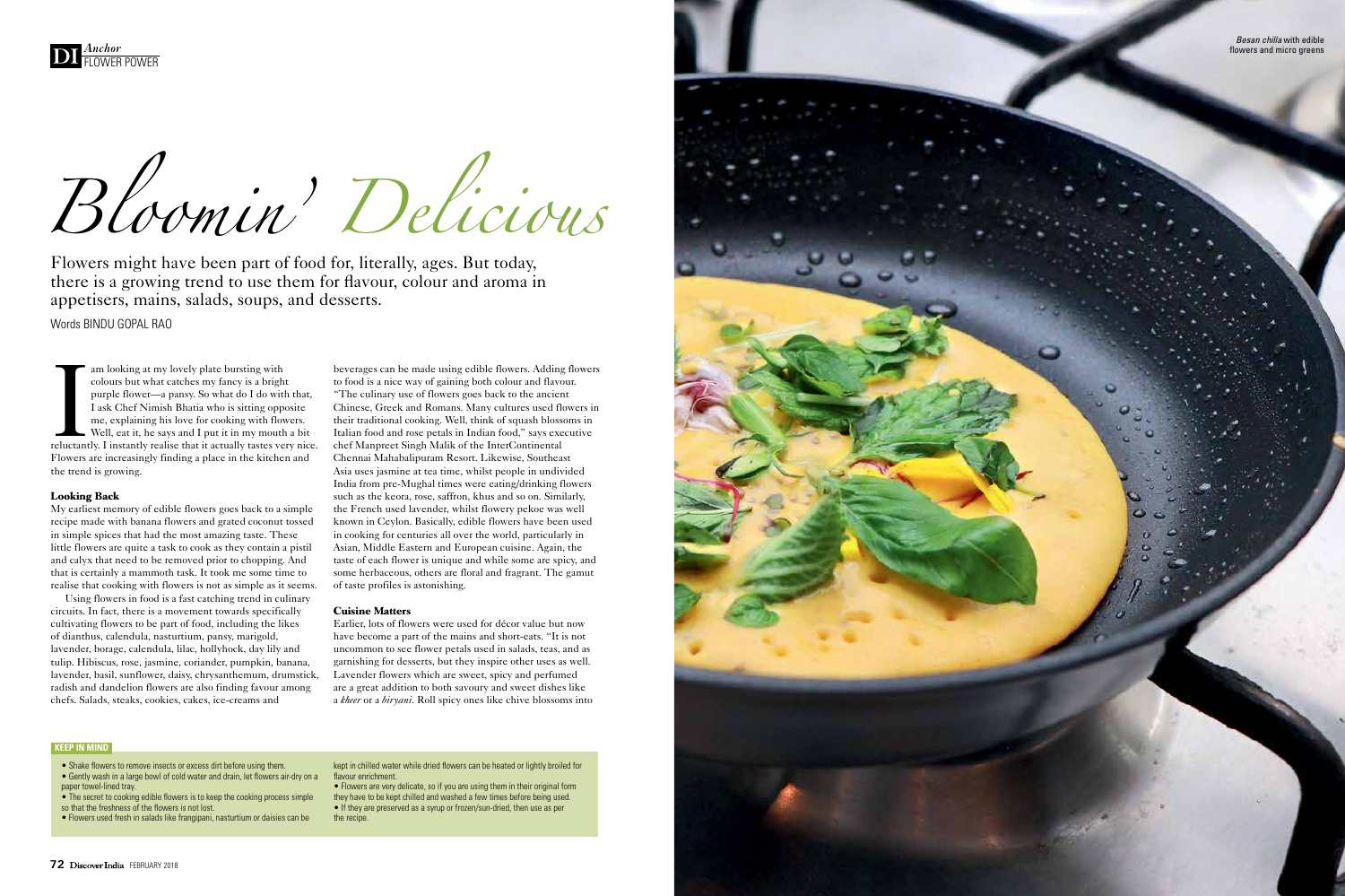

*Bloomin' Delicious*

I am looking at my lovely plate bursting with<br>
colours but what catches my fancy is a bright<br>
purple flower—a pansy. So what do I do with that,<br>
I ask Chef Nimish Bhatia who is sitting opposite<br>
me, explaining his love for colours but what catches my fancy is a bright purple flower—a pansy. So what do I do with that, I ask Chef Nimish Bhatia who is sitting opposite me, explaining his love for cooking with flowers. Well, eat it, he says and I put it in my mouth a bit Flowers are increasingly finding a place in the kitchen and the trend is growing.

# **Looking Back**

My earliest memory of edible flowers goes back to a simple recipe made with banana flowers and grated coconut tossed in simple spices that had the most amazing taste. These little flowers are quite a task to cook as they contain a pistil and calyx that need to be removed prior to chopping. And that is certainly a mammoth task. It took me some time to realise that cooking with flowers is not as simple as it seems.

Using flowers in food is a fast catching trend in culinary circuits. In fact, there is a movement towards specifically cultivating flowers to be part of food, including the likes of dianthus, calendula, nasturtium, pansy, marigold, lavender, borage, calendula, lilac, hollyhock, day lily and tulip. Hibiscus, rose, jasmine, coriander, pumpkin, banana, lavender, basil, sunflower, daisy, chrysanthemum, drumstick, radish and dandelion flowers are also finding favour among chefs. Salads, steaks, cookies, cakes, ice-creams and

beverages can be made using edible flowers. Adding flowers to food is a nice way of gaining both colour and flavour. "The culinary use of flowers goes back to the ancient Chinese, Greek and Romans. Many cultures used flowers in their traditional cooking. Well, think of squash blossoms in Italian food and rose petals in Indian food," says executive chef Manpreet Singh Malik of the InterContinental Chennai Mahabalipuram Resort. Likewise, Southeast Asia uses jasmine at tea time, whilst people in undivided India from pre-Mughal times were eating/drinking flowers such as the keora, rose, saffron, khus and so on. Similarly, the French used lavender, whilst flowery pekoe was well known in Ceylon. Basically, edible flowers have been used in cooking for centuries all over the world, particularly in Asian, Middle Eastern and European cuisine. Again, the taste of each flower is unique and while some are spicy, and some herbaceous, others are floral and fragrant. The gamut of taste profiles is astonishing.

## **Cuisine Matters**

Earlier, lots of flowers were used for décor value but now have become a part of the mains and short-eats. "It is not uncommon to see flower petals used in salads, teas, and as garnishing for desserts, but they inspire other uses as well. Lavender flowers which are sweet, spicy and perfumed are a great addition to both savoury and sweet dishes like a *kheer* or a *biryani*. Roll spicy ones like chive blossoms into

Flowers might have been part of food for, literally, ages. But today, there is a growing trend to use them for flavour, colour and aroma in appetisers, mains, salads, soups, and desserts.

Words BINDU GOPAL RAO

*Besan chilla* with edible flowers and micro greens

- Shake flowers to remove insects or excess dirt before using them.
- Gently wash in a large bowl of cold water and drain, let flowers air-dry on a paper towel-lined tray.
- The secret to cooking edible flowers is to keep the cooking process simple so that the freshness of the flowers is not lost.
- Flowers used fresh in salads like frangipani, nasturtium or daisies can be

kept in chilled water while dried flowers can be heated or lightly broiled for flavour enrichment.

• Flowers are very delicate, so if you are using them in their original form they have to be kept chilled and washed a few times before being used. • If they are preserved as a syrup or frozen/sun-dried, then use as per the recipe.



# **KEEP IN MIND**